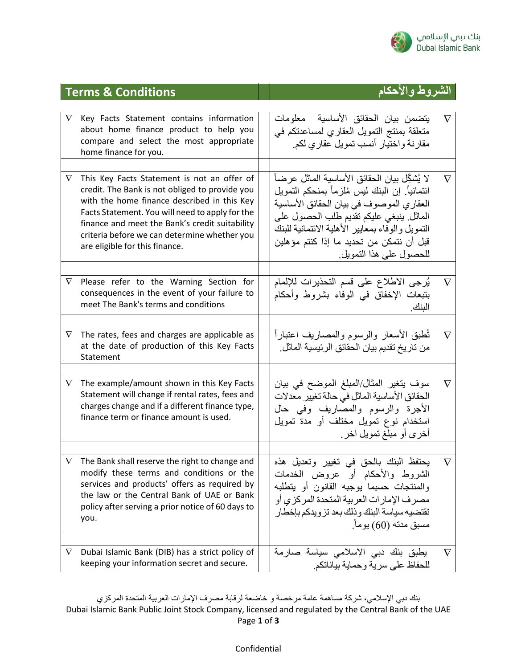

| <b>Terms &amp; Conditions</b> |                                                                                                                                                                                                                                                                                                                                     | الشر وط و الإحكام                                                                                                                                                                                                                                                                                                  |          |
|-------------------------------|-------------------------------------------------------------------------------------------------------------------------------------------------------------------------------------------------------------------------------------------------------------------------------------------------------------------------------------|--------------------------------------------------------------------------------------------------------------------------------------------------------------------------------------------------------------------------------------------------------------------------------------------------------------------|----------|
| $\nabla$                      | Key Facts Statement contains information<br>about home finance product to help you<br>compare and select the most appropriate<br>home finance for you.                                                                                                                                                                              | يتضمن بيان الحقائق الأساسية  معلومات<br>متعلقة بمنتج التمويل العقاري لمساعدتكم في<br>مقارنة واختيار أنسب تمويل عقاري لكم.                                                                                                                                                                                          | $\nabla$ |
| $\nabla$                      | This Key Facts Statement is not an offer of<br>credit. The Bank is not obliged to provide you<br>with the home finance described in this Key<br>Facts Statement. You will need to apply for the<br>finance and meet the Bank's credit suitability<br>criteria before we can determine whether you<br>are eligible for this finance. | لا يُشكِّل بيان الحقائق الأساسية الماثل عر ضـأ<br>ائتمانياً. إن البنك ليس مُلزماً بمنحكم التمويل<br>العقاري الموصوف في بيان الحقائق الأساسية<br>الماثل ينبغي عليكم تقديم طلب الحصول على<br>التمويل والوفاء بمعايير الأهلية الائتمانية للبنك<br>قبل أن نتمكن من تحديد ما إذا كنتم مؤهلين<br>للحصول على هذا النمويل. | $\nabla$ |
| $\nabla$                      | Please refer to the Warning Section for<br>consequences in the event of your failure to<br>meet The Bank's terms and conditions                                                                                                                                                                                                     | يُرجى الاطلاع على قسم التحذيرات للإلمام<br>بتبعات الإخفاق في الوفاء بشروط وأحكام<br>البنك.                                                                                                                                                                                                                         | $\nabla$ |
| $\nabla$                      | The rates, fees and charges are applicable as<br>at the date of production of this Key Facts<br>Statement                                                                                                                                                                                                                           | تُطبق الأسعار والرسوم والمصاريف اعتباراً<br>من تاريخ تقديم بيان الحقائق الرئيسية الماثل.                                                                                                                                                                                                                           | $\nabla$ |
| $\nabla$                      | The example/amount shown in this Key Facts<br>Statement will change if rental rates, fees and<br>charges change and if a different finance type,<br>finance term or finance amount is used.                                                                                                                                         | سوف يتغير المثال/المبلغ الموضح في بيان<br>الحقائق الأساسية الماثل في حالة تغيير معدلات<br>الأجرة والرسوم والمصاريف وفي حال<br>استخدام نوع تمويل مختلف أو مدة تمويل<br>أخرى أو مبلغ تمويل أخر ـ                                                                                                                     | $\nabla$ |
|                               | The Bank shall reserve the right to change and<br>modify these terms and conditions or the<br>services and products' offers as required by<br>the law or the Central Bank of UAE or Bank<br>policy after serving a prior notice of 60 days to<br>you.                                                                               | يحتفظ البنك بالحق في تغيير وتعديل هذه<br>الشروط والأحكام أو عروض الخدمات<br>والمنتجات حسبما يوجبه القانون أو يتطلبه<br>مصرف الإمارات العربية المتحدة المركزي أو<br>تقتضيه سياسة البنك وذلك بعد تزويدكم بإخطار<br>مسبق مدته (60) يوماً.                                                                             |          |
| $\nabla$                      | Dubai Islamic Bank (DIB) has a strict policy of<br>keeping your information secret and secure.                                                                                                                                                                                                                                      | يطبق بنك دبي الإسلامي سياسة صارمة<br>للحفاظ على سرية وحماية بياناتكم.                                                                                                                                                                                                                                              | $\nabla$ |

بنك دبي اإلسالمي، شركة مساهمة عامة مرخصة و خاضعة لرقابة مصرف اإلمارات العربية المتحدة المركزي Dubai Islamic Bank Public Joint Stock Company, licensed and regulated by the Central Bank of the UAE Page **1** of **3**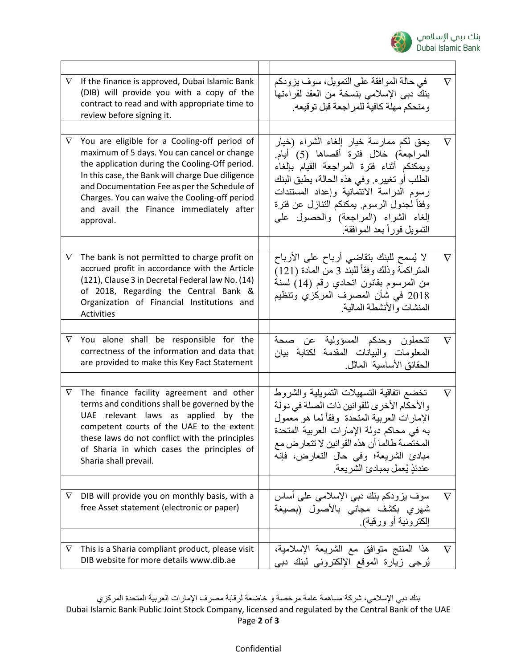

| $\nabla$ | If the finance is approved, Dubai Islamic Bank<br>(DIB) will provide you with a copy of the<br>contract to read and with appropriate time to<br>review before signing it.                                                                                                                                                                                  | في حالة الموافقة على التمويل، سوف يزودكم<br>بنك دبي الإسلامي بنسخة من العقد لقراءتها<br>ومنحكم مهلة كافية للمراجعة قبل توقيعه.                                                                                                                                                                                                           | $\nabla$ |
|----------|------------------------------------------------------------------------------------------------------------------------------------------------------------------------------------------------------------------------------------------------------------------------------------------------------------------------------------------------------------|------------------------------------------------------------------------------------------------------------------------------------------------------------------------------------------------------------------------------------------------------------------------------------------------------------------------------------------|----------|
|          |                                                                                                                                                                                                                                                                                                                                                            |                                                                                                                                                                                                                                                                                                                                          |          |
| $\nabla$ | You are eligible for a Cooling-off period of<br>maximum of 5 days. You can cancel or change<br>the application during the Cooling-Off period.<br>In this case, the Bank will charge Due diligence<br>and Documentation Fee as per the Schedule of<br>Charges. You can waive the Cooling-off period<br>and avail the Finance immediately after<br>approval. | يحق لكم ممارسة خيار إلغاء الشراء (خيار<br>المراجعة) خلال فترة أقصاها (5) أيام.<br>ويمكنكم أثناء فترة المراجعة القيام بإلغاء<br>الطلب أو تغييره. وفي هذه الحالة، يطبق البنك<br>رسوم الدراسة الائتمانية وإعداد المستندات<br>وفقأ لجدول الرسوم يمكنكم التنازل عن فترة<br>إلغاء الشراء (المراجعة) والحصول على<br>التمويل فوراً بعد الموافقة. | $\nabla$ |
|          |                                                                                                                                                                                                                                                                                                                                                            |                                                                                                                                                                                                                                                                                                                                          |          |
| $\nabla$ | The bank is not permitted to charge profit on<br>accrued profit in accordance with the Article<br>(121), Clause 3 in Decretal Federal law No. (14)<br>of 2018, Regarding the Central Bank &<br>Organization of Financial Institutions and<br>Activities                                                                                                    | لا يُسمح للبنك بتقاضىي أرباح على الأرباح<br>المتراكمة وذلك وفقاً للبند 3 من المادة (121)<br>من المرسوم بقانون اتحادي رقم (14) لسنة<br>2018 في شأن المصرف المركزي وتنظيم<br>المنشآت والأنشطة المالبة                                                                                                                                      | $\nabla$ |
|          |                                                                                                                                                                                                                                                                                                                                                            |                                                                                                                                                                                                                                                                                                                                          |          |
| $\nabla$ | You alone shall be responsible for the<br>correctness of the information and data that<br>are provided to make this Key Fact Statement                                                                                                                                                                                                                     | تتحملون وحدكم المسؤولية عن صحة<br>المعلومات والبيانات المقدمة لكتابة بيان<br>الحقائق الأساسية الماتل.                                                                                                                                                                                                                                    | $\nabla$ |
|          |                                                                                                                                                                                                                                                                                                                                                            |                                                                                                                                                                                                                                                                                                                                          |          |
| $\nabla$ | The finance facility agreement and other<br>terms and conditions shall be governed by the<br>UAE relevant laws as applied by the<br>competent courts of the UAE to the extent<br>these laws do not conflict with the principles<br>of Sharia in which cases the principles of<br>Sharia shall prevail.                                                     | تخضع اتفاقية التسهيلات التمويلية والشروط<br>والأحكام الأخرى للقوانين ذات الصلة في دولة<br>الإمارات العربية المتحدة وفقأ لما هو معمول<br>به في محاكم دولة الإمارات العربية المتحدة<br>المختصبة طالما أن هذه القوانين لا تتعارض مع<br>مبادئ الشريعة؛ وفي حال التعارض، فإنه<br>عندئذٍ يُعمل بمبادئ الشريعة.                                 | $\nabla$ |
|          |                                                                                                                                                                                                                                                                                                                                                            |                                                                                                                                                                                                                                                                                                                                          |          |
| $\nabla$ | DIB will provide you on monthly basis, with a<br>free Asset statement (electronic or paper)                                                                                                                                                                                                                                                                | سوف يزودكم بنك دبي الإسلامي علىي أساس<br>شهري بكشف مجانى بالأصول (بصيغة<br>إلكترونية أو ورقية).                                                                                                                                                                                                                                          | V        |
|          |                                                                                                                                                                                                                                                                                                                                                            |                                                                                                                                                                                                                                                                                                                                          |          |
| V        | This is a Sharia compliant product, please visit<br>DIB website for more details www.dib.ae                                                                                                                                                                                                                                                                | هذا المنتج متوافق مع الشريعة الإسلامية،<br>يُرجى زيارة الموقع الإلكتروني لبنك دبي                                                                                                                                                                                                                                                        | $\nabla$ |

بنك دبي اإلسالمي، شركة مساهمة عامة مرخصة و خاضعة لرقابة مصرف اإلمارات العربية المتحدة المركزي Dubai Islamic Bank Public Joint Stock Company, licensed and regulated by the Central Bank of the UAE Page **2** of **3**